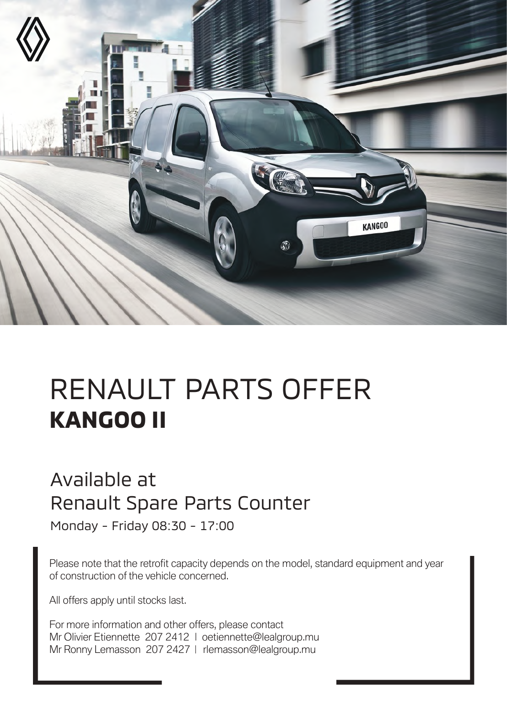

# RENAULT PARTS OFFER **KANGOO II**

#### Available at Renault Spare Parts Counter

Monday - Friday 08:30 - 17:00

Please note that the retrofit capacity depends on the model, standard equipment and year of construction of the vehicle concerned.

All offers apply until stocks last.

For more information and other offers, please contact Mr Olivier Etiennette 207 2412 | oetiennette@lealgroup.mu Mr Ronny Lemasson 207 2427 | rlemasson@lealgroup.mu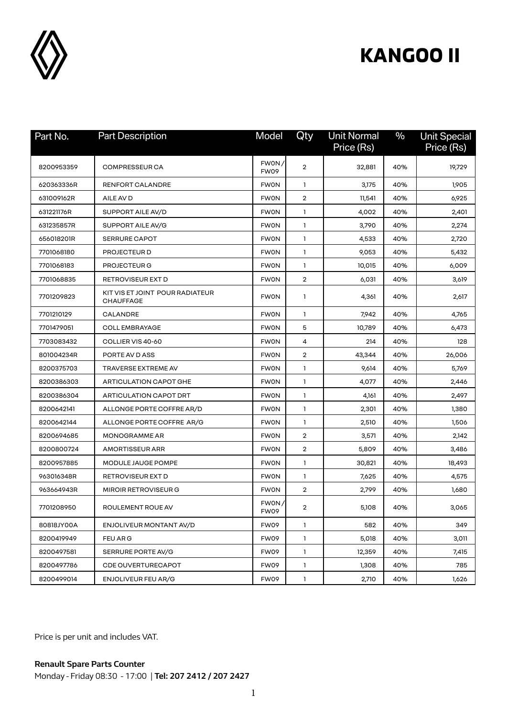

# **KANGOO II**

| Part No.   | <b>Part Description</b>                             | Model         | Qty            | <b>Unit Normal</b><br>Price (Rs) | $\%$ | <b>Unit Special</b><br>Price (Rs) |
|------------|-----------------------------------------------------|---------------|----------------|----------------------------------|------|-----------------------------------|
| 8200953359 | <b>COMPRESSEUR CA</b>                               | FWON/<br>FW09 | $\overline{2}$ | 32,881                           | 40%  | 19,729                            |
| 620363336R | <b>RENFORT CALANDRE</b>                             | <b>FWON</b>   | 1              | 3,175                            | 40%  | 1,905                             |
| 631009162R | AILE AV D                                           | <b>FWON</b>   | $\overline{2}$ | 11,541                           | 40%  | 6,925                             |
| 631221176R | SUPPORT AILE AV/D                                   | <b>FWON</b>   | 1              | 4,002                            | 40%  | 2,401                             |
| 631235857R | SUPPORT AILE AV/G                                   | <b>FWON</b>   | 1              | 3,790                            | 40%  | 2,274                             |
| 656018201R | <b>SERRURE CAPOT</b>                                | <b>FWON</b>   | 1              | 4,533                            | 40%  | 2,720                             |
| 7701068180 | PROJECTEUR D                                        | <b>FWON</b>   | 1              | 9,053                            | 40%  | 5,432                             |
| 7701068183 | PROJECTEUR G                                        | <b>FWON</b>   | $\mathbf{1}$   | 10,015                           | 40%  | 6,009                             |
| 7701068835 | RETROVISEUR EXT D                                   | <b>FWON</b>   | 2              | 6,031                            | 40%  | 3,619                             |
| 7701209823 | KIT VIS ET JOINT POUR RADIATEUR<br><b>CHAUFFAGE</b> | <b>FWON</b>   | 1              | 4,361                            | 40%  | 2,617                             |
| 7701210129 | CALANDRE                                            | <b>FWON</b>   | 1              | 7,942                            | 40%  | 4,765                             |
| 7701479051 | <b>COLL EMBRAYAGE</b>                               | <b>FWON</b>   | 5              | 10,789                           | 40%  | 6,473                             |
| 7703083432 | COLLIER VIS 40-60                                   | <b>FWON</b>   | 4              | 214                              | 40%  | 128                               |
| 801004234R | PORTE AV D ASS                                      | <b>FWON</b>   | $\overline{2}$ | 43,344                           | 40%  | 26,006                            |
| 8200375703 | TRAVERSE EXTREME AV                                 | <b>FWON</b>   | 1              | 9,614                            | 40%  | 5,769                             |
| 8200386303 | ARTICULATION CAPOT GHE                              | <b>FWON</b>   | 1              | 4,077                            | 40%  | 2,446                             |
| 8200386304 | ARTICULATION CAPOT DRT                              | <b>FWON</b>   | 1              | 4,161                            | 40%  | 2,497                             |
| 8200642141 | ALLONGE PORTE COFFRE AR/D                           | <b>FWON</b>   | 1              | 2,301                            | 40%  | 1,380                             |
| 8200642144 | ALLONGE PORTE COFFRE AR/G                           | <b>FWON</b>   | 1              | 2,510                            | 40%  | 1,506                             |
| 8200694685 | MONOGRAMME AR                                       | <b>FWON</b>   | $\overline{2}$ | 3,571                            | 40%  | 2,142                             |
| 8200800724 | <b>AMORTISSEUR ARR</b>                              | <b>FWON</b>   | $\overline{2}$ | 5,809                            | 40%  | 3,486                             |
| 8200957885 | MODULE JAUGE POMPE                                  | <b>FWON</b>   | 1              | 30,821                           | 40%  | 18,493                            |
| 963016348R | RETROVISEUR EXT D                                   | <b>FWON</b>   | $\mathbf{1}$   | 7,625                            | 40%  | 4,575                             |
| 963664943R | MIROIR RETROVISEUR G                                | <b>FWON</b>   | 2              | 2,799                            | 40%  | 1,680                             |
| 7701208950 | ROULEMENT ROUE AV                                   | FWON/<br>FW09 | 2              | 5,108                            | 40%  | 3,065                             |
| 80818JY00A | ENJOLIVEUR MONTANT AV/D                             | FW09          | 1              | 582                              | 40%  | 349                               |
| 8200419949 | FEU AR G                                            | FW09          | 1              | 5,018                            | 40%  | 3,011                             |
| 8200497581 | SERRURE PORTE AV/G                                  | FW09          | 1              | 12,359                           | 40%  | 7,415                             |
| 8200497786 | <b>CDE OUVERTURECAPOT</b>                           | FW09          | 1              | 1,308                            | 40%  | 785                               |
| 8200499014 | <b>ENJOLIVEUR FEU AR/G</b>                          | FW09          | 1              | 2,710                            | 40%  | 1,626                             |

Price is per unit and includes VAT.

**Renault Spare Parts Counter**  Monday - Friday 08:30 - 17:00 | **Tel: 207 2412 / 207 2427**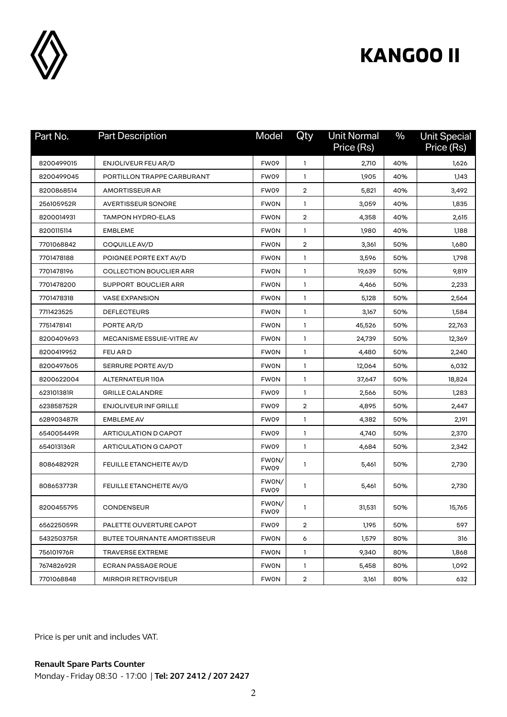

# **KANGOO II**

| Part No.   | <b>Part Description</b>        | Model                | Qty            | <b>Unit Normal</b><br>Price (Rs) | $\%$ | <b>Unit Special</b><br>Price (Rs) |
|------------|--------------------------------|----------------------|----------------|----------------------------------|------|-----------------------------------|
| 8200499015 | ENJOLIVEUR FEU AR/D            | FW09                 | 1              | 2,710                            | 40%  | 1,626                             |
| 8200499045 | PORTILLON TRAPPE CARBURANT     | <b>FW09</b>          | 1              | 1,905                            | 40%  | 1,143                             |
| 8200868514 | <b>AMORTISSEUR AR</b>          | FW09                 | $\overline{2}$ | 5,821                            | 40%  | 3,492                             |
| 256105952R | <b>AVERTISSEUR SONORE</b>      | <b>FWON</b>          | 1              | 3,059                            | 40%  | 1,835                             |
| 8200014931 | <b>TAMPON HYDRO-ELAS</b>       | <b>FWON</b>          | $\overline{2}$ | 4,358                            | 40%  | 2,615                             |
| 8200115114 | <b>EMBLEME</b>                 | <b>FWON</b>          | 1              | 1,980                            | 40%  | 1,188                             |
| 7701068842 | COQUILLE AV/D                  | <b>FWON</b>          | 2              | 3,361                            | 50%  | 1,680                             |
| 7701478188 | POIGNEE PORTE EXT AV/D         | <b>FWON</b>          | 1              | 3,596                            | 50%  | 1,798                             |
| 7701478196 | <b>COLLECTION BOUCLIER ARR</b> | <b>FWON</b>          | 1              | 19,639                           | 50%  | 9,819                             |
| 7701478200 | SUPPORT BOUCLIER ARR           | <b>FWON</b>          | 1              | 4,466                            | 50%  | 2,233                             |
| 7701478318 | <b>VASE EXPANSION</b>          | <b>FWON</b>          | 1              | 5,128                            | 50%  | 2,564                             |
| 7711423525 | <b>DEFLECTEURS</b>             | <b>FWON</b>          | 1              | 3,167                            | 50%  | 1,584                             |
| 7751478141 | PORTE AR/D                     | <b>FWON</b>          | 1              | 45,526                           | 50%  | 22,763                            |
| 8200409693 | MECANISME ESSUIE-VITRE AV      | <b>FWON</b>          | 1              | 24,739                           | 50%  | 12,369                            |
| 8200419952 | <b>FEU ARD</b>                 | <b>FWON</b>          | 1              | 4,480                            | 50%  | 2,240                             |
| 8200497605 | SERRURE PORTE AV/D             | <b>FWON</b>          | 1              | 12,064                           | 50%  | 6,032                             |
| 8200622004 | ALTERNATEUR 110A               | <b>FWON</b>          | 1              | 37,647                           | 50%  | 18,824                            |
| 623101381R | <b>GRILLE CALANDRE</b>         | FW09                 | 1              | 2,566                            | 50%  | 1,283                             |
| 623858752R | <b>ENJOLIVEUR INF GRILLE</b>   | <b>FW09</b>          | $\overline{2}$ | 4,895                            | 50%  | 2,447                             |
| 628903487R | <b>EMBLEME AV</b>              | FW09                 | 1              | 4,382                            | 50%  | 2,191                             |
| 654005449R | ARTICULATION D CAPOT           | FW09                 | 1              | 4,740                            | 50%  | 2,370                             |
| 654013136R | ARTICULATION G CAPOT           | <b>FW09</b>          | 1              | 4,684                            | 50%  | 2,342                             |
| 808648292R | FEUILLE ETANCHEITE AV/D        | FWON/<br><b>FW09</b> | 1              | 5,461                            | 50%  | 2,730                             |
| 808653773R | FEUILLE ETANCHEITE AV/G        | FWON/<br>FW09        | 1              | 5,461                            | 50%  | 2,730                             |
| 8200455795 | <b>CONDENSEUR</b>              | FWON/<br>FW09        | 1              | 31,531                           | 50%  | 15,765                            |
| 656225059R | PALETTE OUVERTURE CAPOT        | FW09                 | $\overline{2}$ | 1,195                            | 50%  | 597                               |
| 543250375R | BUTEE TOURNANTE AMORTISSEUR    | <b>FWON</b>          | 6              | 1,579                            | 80%  | 316                               |
| 756101976R | TRAVERSE EXTREME               | <b>FWON</b>          | $\mathbf{1}$   | 9,340                            | 80%  | 1,868                             |
| 767482692R | ECRAN PASSAGE ROUE             | <b>FWON</b>          | 1.             | 5,458                            | 80%  | 1,092                             |
| 7701068848 | <b>MIRROIR RETROVISEUR</b>     | <b>FWON</b>          | $\overline{2}$ | 3,161                            | 80%  | 632                               |

Price is per unit and includes VAT.

**Renault Spare Parts Counter**  Monday - Friday 08:30 - 17:00 | **Tel: 207 2412 / 207 2427**